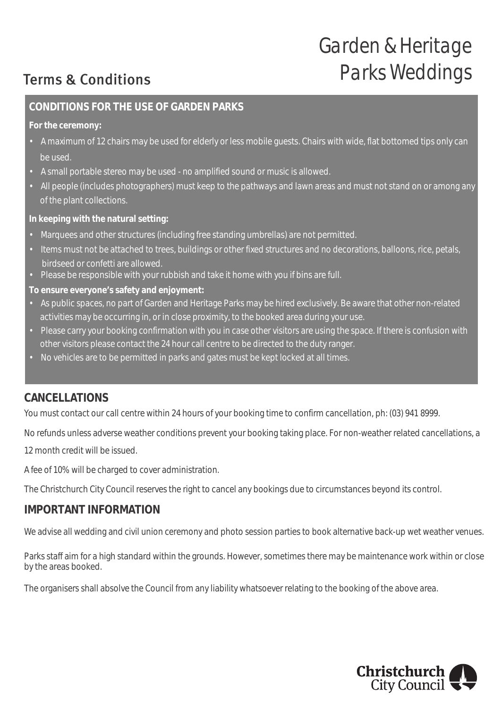# *Garden & Heritage Parks Weddings*

## Terms & Conditions

### **CONDITIONS FOR THE USE OF GARDEN PARKS**

**For the ceremony:**

- A maximum of 12 chairs may be used for elderly or less mobile guests. Chairs with wide, flat bottomed tips only can be used.
- A small portable stereo may be used no amplified sound or music is allowed.
- All people (includes photographers) must keep to the pathways and lawn areas and must not stand on or among any of the plant collections.

**In keeping with the natural setting:**

- Marquees and other structures (including free standing umbrellas) are not permitted.
- Items must not be attached to trees, buildings or other fixed structures and no decorations, balloons, rice, petals, birdseed or confetti are allowed.
- Please be responsible with your rubbish and take it home with you if bins are full.

**To ensure everyone's safety and enjoyment:**

- As public spaces, no part of Garden and Heritage Parks may be hired exclusively. Be aware that other non-related activities may be occurring in, or in close proximity, to the booked area during your use.
- Please carry your booking confirmation with you in case other visitors are using the space. If there is confusion with other visitors please contact the 24 hour call centre to be directed to the duty ranger.
- No vehicles are to be permitted in parks and gates must be kept locked at all times.

## **CANCELLATIONS**

You must contact our call centre within 24 hours of your booking time to confirm cancellation, ph: (03) 941 8999.

No refunds unless adverse weather conditions prevent your booking taking place. For non-weather related cancellations, a

12 month credit will be issued.

A fee of 10% will be charged to cover administration.

The Christchurch City Council reserves the right to cancel any bookings due to circumstances beyond its control.

#### **IMPORTANT INFORMATION**

We advise all wedding and civil union ceremony and photo session parties to book alternative back-up wet weather venues.

Parks staff aim for a high standard within the grounds. However, sometimes there may be maintenance work within or close by the areas booked.

The organisers shall absolve the Council from any liability whatsoever relating to the booking of the above area.